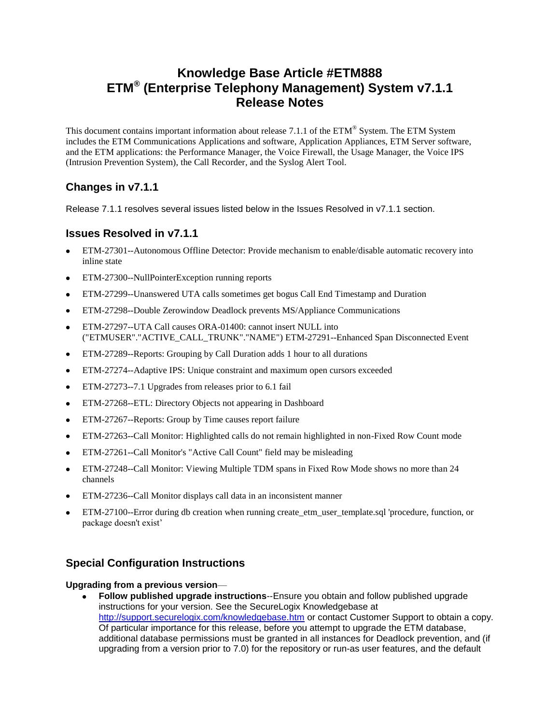# **Knowledge Base Article #ETM888 ETM® (Enterprise Telephony Management) System v7.1.1 Release Notes**

This document contains important information about release 7.1.1 of the ETM® System. The ETM System includes the ETM Communications Applications and software, Application Appliances, ETM Server software, and the ETM applications: the Performance Manager, the Voice Firewall, the Usage Manager, the Voice IPS (Intrusion Prevention System), the Call Recorder, and the Syslog Alert Tool.

# **Changes in v7.1.1**

Release 7.1.1 resolves several issues listed below in the Issues Resolved in v7.1.1 section.

# **Issues Resolved in v7.1.1**

- ETM-27301--Autonomous Offline Detector: Provide mechanism to enable/disable automatic recovery into inline state
- ETM-27300--NullPointerException running reports
- ETM-27299--Unanswered UTA calls sometimes get bogus Call End Timestamp and Duration
- ETM-27298--Double Zerowindow Deadlock prevents MS/Appliance Communications
- ETM-27297--UTA Call causes ORA-01400: cannot insert NULL into ("ETMUSER"."ACTIVE\_CALL\_TRUNK"."NAME") ETM-27291--Enhanced Span Disconnected Event
- ETM-27289--Reports: Grouping by Call Duration adds 1 hour to all durations  $\bullet$
- ETM-27274--Adaptive IPS: Unique constraint and maximum open cursors exceeded  $\bullet$
- ETM-27273--7.1 Upgrades from releases prior to 6.1 fail
- ETM-27268--ETL: Directory Objects not appearing in Dashboard  $\bullet$
- ETM-27267--Reports: Group by Time causes report failure
- ETM-27263--Call Monitor: Highlighted calls do not remain highlighted in non-Fixed Row Count mode
- ETM-27261--Call Monitor's "Active Call Count" field may be misleading
- ETM-27248--Call Monitor: Viewing Multiple TDM spans in Fixed Row Mode shows no more than 24 channels
- ETM-27236--Call Monitor displays call data in an inconsistent manner
- ETM-27100--Error during db creation when running create\_etm\_user\_template.sql 'procedure, function, or package doesn't exist'

# **Special Configuration Instructions**

## **Upgrading from a previous version**—

**Follow published upgrade instructions**--Ensure you obtain and follow published upgrade instructions for your version. See the SecureLogix Knowledgebase at <http://support.securelogix.com/knowledgebase.htm> or contact Customer Support to obtain a copy. Of particular importance for this release, before you attempt to upgrade the ETM database, additional database permissions must be granted in all instances for Deadlock prevention, and (if upgrading from a version prior to 7.0) for the repository or run-as user features, and the default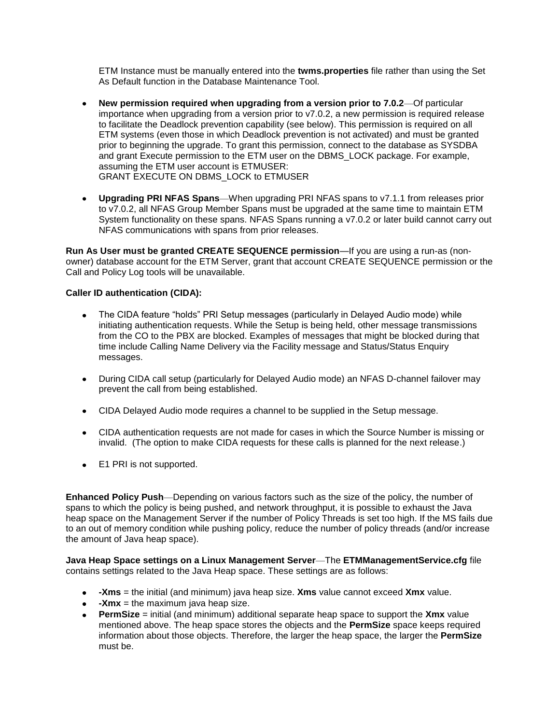ETM Instance must be manually entered into the **twms.properties** file rather than using the Set As Default function in the Database Maintenance Tool.

- **New permission required when upgrading from a version prior to 7.0.2**—Of particular  $\bullet$ importance when upgrading from a version prior to v7.0.2, a new permission is required release to facilitate the Deadlock prevention capability (see below). This permission is required on all ETM systems (even those in which Deadlock prevention is not activated) and must be granted prior to beginning the upgrade. To grant this permission, connect to the database as SYSDBA and grant Execute permission to the ETM user on the DBMS\_LOCK package. For example, assuming the ETM user account is ETMUSER: GRANT EXECUTE ON DBMS\_LOCK to ETMUSER
- **Upgrading PRI NFAS Spans**—When upgrading PRI NFAS spans to v7.1.1 from releases prior to v7.0.2, all NFAS Group Member Spans must be upgraded at the same time to maintain ETM System functionality on these spans. NFAS Spans running a v7.0.2 or later build cannot carry out NFAS communications with spans from prior releases.

**Run As User must be granted CREATE SEQUENCE permission**—If you are using a run-as (nonowner) database account for the ETM Server, grant that account CREATE SEQUENCE permission or the Call and Policy Log tools will be unavailable.

## **Caller ID authentication (CIDA):**

- The CIDA feature "holds" PRI Setup messages (particularly in Delayed Audio mode) while  $\bullet$ initiating authentication requests. While the Setup is being held, other message transmissions from the CO to the PBX are blocked. Examples of messages that might be blocked during that time include Calling Name Delivery via the Facility message and Status/Status Enquiry messages.
- During CIDA call setup (particularly for Delayed Audio mode) an NFAS D-channel failover may prevent the call from being established.
- CIDA Delayed Audio mode requires a channel to be supplied in the Setup message.
- CIDA authentication requests are not made for cases in which the Source Number is missing or invalid. (The option to make CIDA requests for these calls is planned for the next release.)
- E1 PRI is not supported.

**Enhanced Policy Push**—Depending on various factors such as the size of the policy, the number of spans to which the policy is being pushed, and network throughput, it is possible to exhaust the Java heap space on the Management Server if the number of Policy Threads is set too high. If the MS fails due to an out of memory condition while pushing policy, reduce the number of policy threads (and/or increase the amount of Java heap space).

**Java Heap Space settings on a Linux Management Server**—The **ETMManagementService.cfg** file contains settings related to the Java Heap space. These settings are as follows:

- **-Xms** = the initial (and minimum) java heap size. **Xms** value cannot exceed **Xmx** value.
- **•** -Xmx = the maximum java heap size.
- **PermSize** = initial (and minimum) additional separate heap space to support the **Xmx** value mentioned above. The heap space stores the objects and the **PermSize** space keeps required information about those objects. Therefore, the larger the heap space, the larger the **PermSize** must be.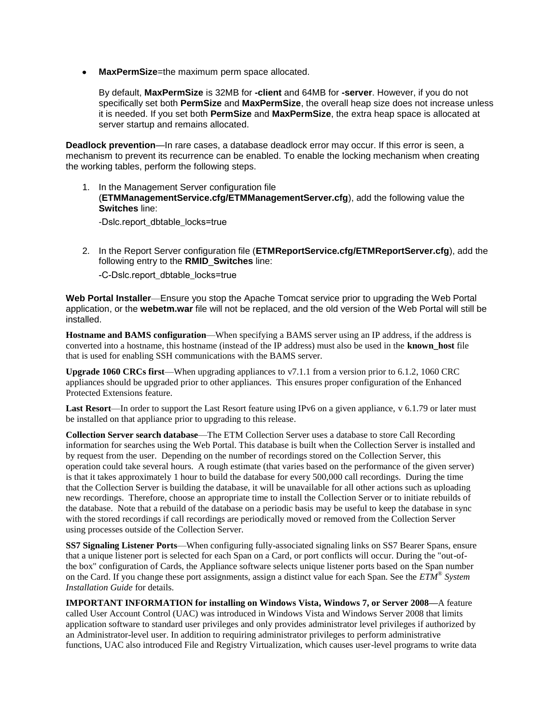**MaxPermSize**=the maximum perm space allocated.

By default, **MaxPermSize** is 32MB for **-client** and 64MB for **-server**. However, if you do not specifically set both **PermSize** and **MaxPermSize**, the overall heap size does not increase unless it is needed. If you set both **PermSize** and **MaxPermSize**, the extra heap space is allocated at server startup and remains allocated.

**Deadlock prevention**—In rare cases, a database deadlock error may occur. If this error is seen, a mechanism to prevent its recurrence can be enabled. To enable the locking mechanism when creating the working tables, perform the following steps.

1. In the Management Server configuration file (**ETMManagementService.cfg/ETMManagementServer.cfg**), add the following value the **Switches** line:

-Dslc.report\_dbtable\_locks=true

2. In the Report Server configuration file (**ETMReportService.cfg/ETMReportServer.cfg**), add the following entry to the **RMID**\_**Switches** line:

-C-Dslc.report\_dbtable\_locks=true

**Web Portal Installer**—Ensure you stop the Apache Tomcat service prior to upgrading the Web Portal application, or the **webetm.war** file will not be replaced, and the old version of the Web Portal will still be installed.

**Hostname and BAMS configuration**—When specifying a BAMS server using an IP address, if the address is converted into a hostname, this hostname (instead of the IP address) must also be used in the **known\_host** file that is used for enabling SSH communications with the BAMS server.

**Upgrade 1060 CRCs first**—When upgrading appliances to v7.1.1 from a version prior to 6.1.2, 1060 CRC appliances should be upgraded prior to other appliances. This ensures proper configuration of the Enhanced Protected Extensions feature.

**Last Resort**—In order to support the Last Resort feature using IPv6 on a given appliance, v 6.1.79 or later must be installed on that appliance prior to upgrading to this release.

**Collection Server search database**—The ETM Collection Server uses a database to store Call Recording information for searches using the Web Portal. This database is built when the Collection Server is installed and by request from the user. Depending on the number of recordings stored on the Collection Server, this operation could take several hours. A rough estimate (that varies based on the performance of the given server) is that it takes approximately 1 hour to build the database for every 500,000 call recordings. During the time that the Collection Server is building the database, it will be unavailable for all other actions such as uploading new recordings. Therefore, choose an appropriate time to install the Collection Server or to initiate rebuilds of the database. Note that a rebuild of the database on a periodic basis may be useful to keep the database in sync with the stored recordings if call recordings are periodically moved or removed from the Collection Server using processes outside of the Collection Server.

**SS7 Signaling Listener Ports**—When configuring fully-associated signaling links on SS7 Bearer Spans, ensure that a unique listener port is selected for each Span on a Card, or port conflicts will occur. During the "out-ofthe box" configuration of Cards, the Appliance software selects unique listener ports based on the Span number on the Card. If you change these port assignments, assign a distinct value for each Span. See the *ETM® System Installation Guide* for details.

**IMPORTANT INFORMATION for installing on Windows Vista, Windows 7, or Server 2008—**A feature called User Account Control (UAC) was introduced in Windows Vista and Windows Server 2008 that limits application software to standard user privileges and only provides administrator level privileges if authorized by an Administrator-level user. In addition to requiring administrator privileges to perform administrative functions, UAC also introduced File and Registry Virtualization, which causes user-level programs to write data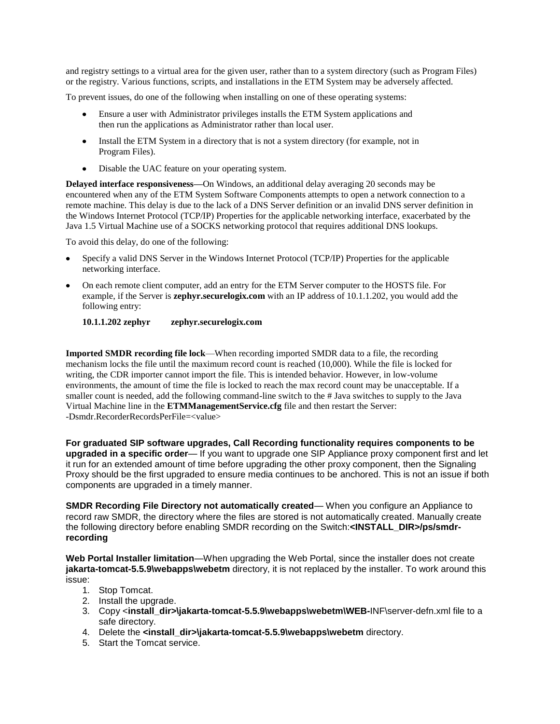and registry settings to a virtual area for the given user, rather than to a system directory (such as Program Files) or the registry. Various functions, scripts, and installations in the ETM System may be adversely affected.

To prevent issues, do one of the following when installing on one of these operating systems:

- Ensure a user with Administrator privileges installs the ETM System applications and then run the applications as Administrator rather than local user.
- Install the ETM System in a directory that is not a system directory (for example, not in Program Files).
- Disable the UAC feature on your operating system.

**Delayed interface responsiveness—**On Windows, an additional delay averaging 20 seconds may be encountered when any of the ETM System Software Components attempts to open a network connection to a remote machine. This delay is due to the lack of a DNS Server definition or an invalid DNS server definition in the Windows Internet Protocol (TCP/IP) Properties for the applicable networking interface, exacerbated by the Java 1.5 Virtual Machine use of a SOCKS networking protocol that requires additional DNS lookups.

To avoid this delay, do one of the following:

- Specify a valid DNS Server in the Windows Internet Protocol (TCP/IP) Properties for the applicable networking interface.
- On each remote client computer, add an entry for the ETM Server computer to the HOSTS file. For example, if the Server is **zephyr.securelogix.com** with an IP address of 10.1.1.202, you would add the following entry:

### **10.1.1.202 zephyr zephyr.securelogix.com**

**Imported SMDR recording file lock**—When recording imported SMDR data to a file, the recording mechanism locks the file until the maximum record count is reached (10,000). While the file is locked for writing, the CDR importer cannot import the file. This is intended behavior. However, in low-volume environments, the amount of time the file is locked to reach the max record count may be unacceptable. If a smaller count is needed, add the following command-line switch to the # Java switches to supply to the Java Virtual Machine line in the **ETMManagementService.cfg** file and then restart the Server: -Dsmdr.RecorderRecordsPerFile=<value>

**For graduated SIP software upgrades, Call Recording functionality requires components to be upgraded in a specific order**— If you want to upgrade one SIP Appliance proxy component first and let it run for an extended amount of time before upgrading the other proxy component, then the Signaling Proxy should be the first upgraded to ensure media continues to be anchored. This is not an issue if both components are upgraded in a timely manner.

**SMDR Recording File Directory not automatically created**— When you configure an Appliance to record raw SMDR, the directory where the files are stored is not automatically created. Manually create the following directory before enabling SMDR recording on the Switch:**<INSTALL\_DIR>/ps/smdrrecording**

**Web Portal Installer limitation**—When upgrading the Web Portal, since the installer does not create **jakarta-tomcat-5.5.9\webapps\webetm** directory, it is not replaced by the installer. To work around this issue:

- 1. Stop Tomcat.
- 2. Install the upgrade.
- 3. Copy <**install\_dir>\jakarta-tomcat-5.5.9\webapps\webetm\WEB-**INF\server-defn.xml file to a safe directory.
- 4. Delete the **<install\_dir>\jakarta-tomcat-5.5.9\webapps\webetm** directory.
- 5. Start the Tomcat service.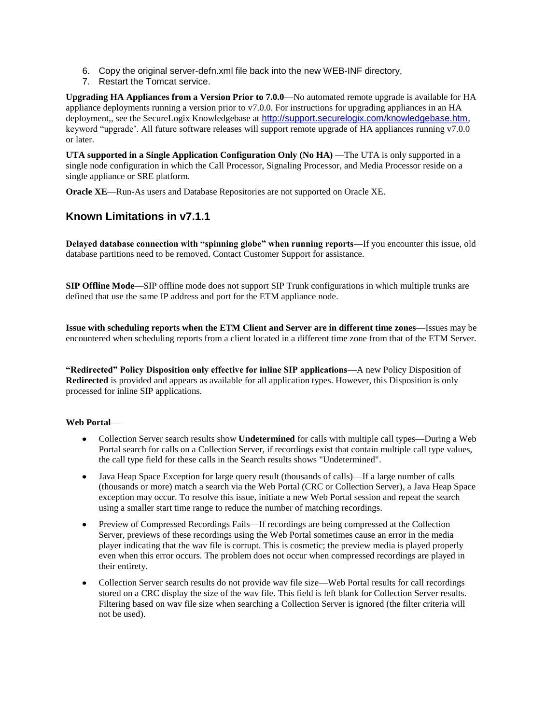- 6. Copy the original server-defn.xml file back into the new WEB-INF directory,
- 7. Restart the Tomcat service.

**Upgrading HA Appliances from a Version Prior to 7.0.0**—No automated remote upgrade is available for HA appliance deployments running a version prior to v7.0.0. For instructions for upgrading appliances in an HA deployment,, see the SecureLogix Knowledgebase at <http://support.securelogix.com/knowledgebase.htm>, keyword "upgrade'. All future software releases will support remote upgrade of HA appliances running v7.0.0 or later.

**UTA supported in a Single Application Configuration Only (No HA)** —The UTA is only supported in a single node configuration in which the Call Processor, Signaling Processor, and Media Processor reside on a single appliance or SRE platform.

**Oracle XE**—Run-As users and Database Repositories are not supported on Oracle XE.

## **Known Limitations in v7.1.1**

**Delayed database connection with "spinning globe" when running reports**—If you encounter this issue, old database partitions need to be removed. Contact Customer Support for assistance.

**SIP Offline Mode**—SIP offline mode does not support SIP Trunk configurations in which multiple trunks are defined that use the same IP address and port for the ETM appliance node.

**Issue with scheduling reports when the ETM Client and Server are in different time zones**—Issues may be encountered when scheduling reports from a client located in a different time zone from that of the ETM Server.

**"Redirected" Policy Disposition only effective for inline SIP applications**—A new Policy Disposition of **Redirected** is provided and appears as available for all application types. However, this Disposition is only processed for inline SIP applications.

### **Web Portal**—

- Collection Server search results show **Undetermined** for calls with multiple call types—During a Web Portal search for calls on a Collection Server, if recordings exist that contain multiple call type values, the call type field for these calls in the Search results shows "Undetermined".
- $\bullet$ Java Heap Space Exception for large query result (thousands of calls)—If a large number of calls (thousands or more) match a search via the Web Portal (CRC or Collection Server), a Java Heap Space exception may occur. To resolve this issue, initiate a new Web Portal session and repeat the search using a smaller start time range to reduce the number of matching recordings.
- Preview of Compressed Recordings Fails—If recordings are being compressed at the Collection Server, previews of these recordings using the Web Portal sometimes cause an error in the media player indicating that the wav file is corrupt. This is cosmetic; the preview media is played properly even when this error occurs. The problem does not occur when compressed recordings are played in their entirety.
- Collection Server search results do not provide wav file size—Web Portal results for call recordings  $\bullet$ stored on a CRC display the size of the wav file. This field is left blank for Collection Server results. Filtering based on wav file size when searching a Collection Server is ignored (the filter criteria will not be used).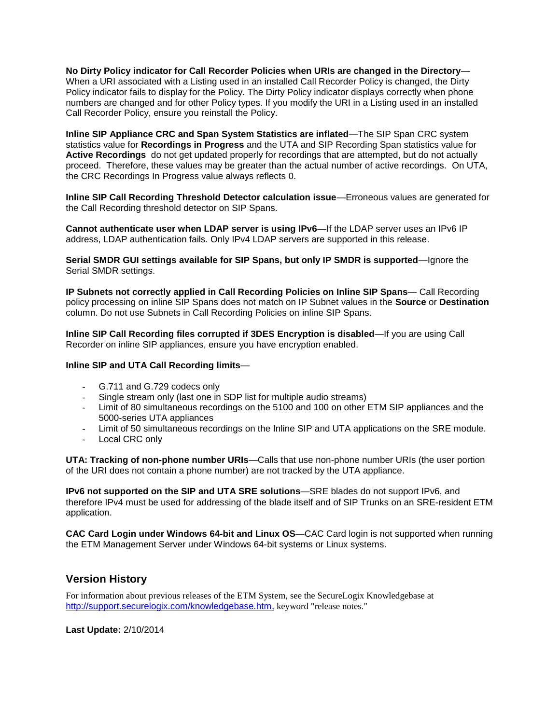**No Dirty Policy indicator for Call Recorder Policies when URIs are changed in the Directory**— When a URI associated with a Listing used in an installed Call Recorder Policy is changed, the Dirty Policy indicator fails to display for the Policy. The Dirty Policy indicator displays correctly when phone numbers are changed and for other Policy types. If you modify the URI in a Listing used in an installed Call Recorder Policy, ensure you reinstall the Policy.

**Inline SIP Appliance CRC and Span System Statistics are inflated**—The SIP Span CRC system statistics value for **Recordings in Progress** and the UTA and SIP Recording Span statistics value for **Active Recordings** do not get updated properly for recordings that are attempted, but do not actually proceed. Therefore, these values may be greater than the actual number of active recordings. On UTA, the CRC Recordings In Progress value always reflects 0.

**Inline SIP Call Recording Threshold Detector calculation issue**—Erroneous values are generated for the Call Recording threshold detector on SIP Spans.

**Cannot authenticate user when LDAP server is using IPv6**—If the LDAP server uses an IPv6 IP address, LDAP authentication fails. Only IPv4 LDAP servers are supported in this release.

**Serial SMDR GUI settings available for SIP Spans, but only IP SMDR is supported**—Ignore the Serial SMDR settings.

**IP Subnets not correctly applied in Call Recording Policies on Inline SIP Spans**— Call Recording policy processing on inline SIP Spans does not match on IP Subnet values in the **Source** or **Destination** column. Do not use Subnets in Call Recording Policies on inline SIP Spans.

**Inline SIP Call Recording files corrupted if 3DES Encryption is disabled**—If you are using Call Recorder on inline SIP appliances, ensure you have encryption enabled.

## **Inline SIP and UTA Call Recording limits**—

- G.711 and G.729 codecs only
- Single stream only (last one in SDP list for multiple audio streams)
- Limit of 80 simultaneous recordings on the 5100 and 100 on other ETM SIP appliances and the 5000-series UTA appliances
- Limit of 50 simultaneous recordings on the Inline SIP and UTA applications on the SRE module.
- Local CRC only

**UTA: Tracking of non-phone number URIs**—Calls that use non-phone number URIs (the user portion of the URI does not contain a phone number) are not tracked by the UTA appliance.

**IPv6 not supported on the SIP and UTA SRE solutions**—SRE blades do not support IPv6, and therefore IPv4 must be used for addressing of the blade itself and of SIP Trunks on an SRE-resident ETM application.

**CAC Card Login under Windows 64-bit and Linux OS**—CAC Card login is not supported when running the ETM Management Server under Windows 64-bit systems or Linux systems.

## **Version History**

For information about previous releases of the ETM System, see the SecureLogix Knowledgebase at [http://support.securelogix.com/knowledgebase.htm,](http://support.securelogix.com/knowledgebase.htm) keyword "release notes."

**Last Update:** 2/10/2014